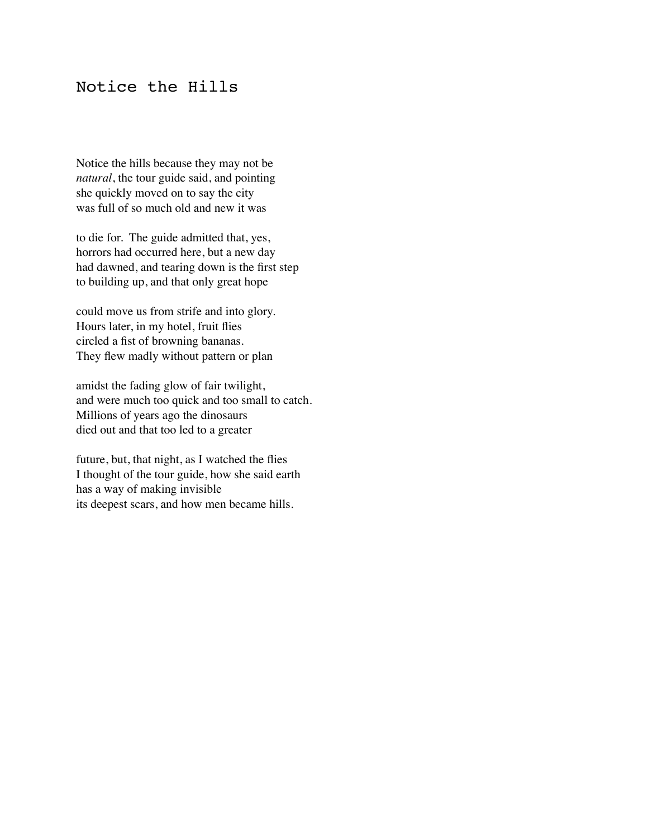### Notice the Hills

Notice the hills because they may not be *natural*, the tour guide said, and pointing she quickly moved on to say the city was full of so much old and new it was

to die for. The guide admitted that, yes, horrors had occurred here, but a new day had dawned, and tearing down is the first step to building up, and that only great hope

could move us from strife and into glory. Hours later, in my hotel, fruit flies circled a fist of browning bananas. They flew madly without pattern or plan

amidst the fading glow of fair twilight, and were much too quick and too small to catch. Millions of years ago the dinosaurs died out and that too led to a greater

future, but, that night, as I watched the flies I thought of the tour guide, how she said earth has a way of making invisible its deepest scars, and how men became hills.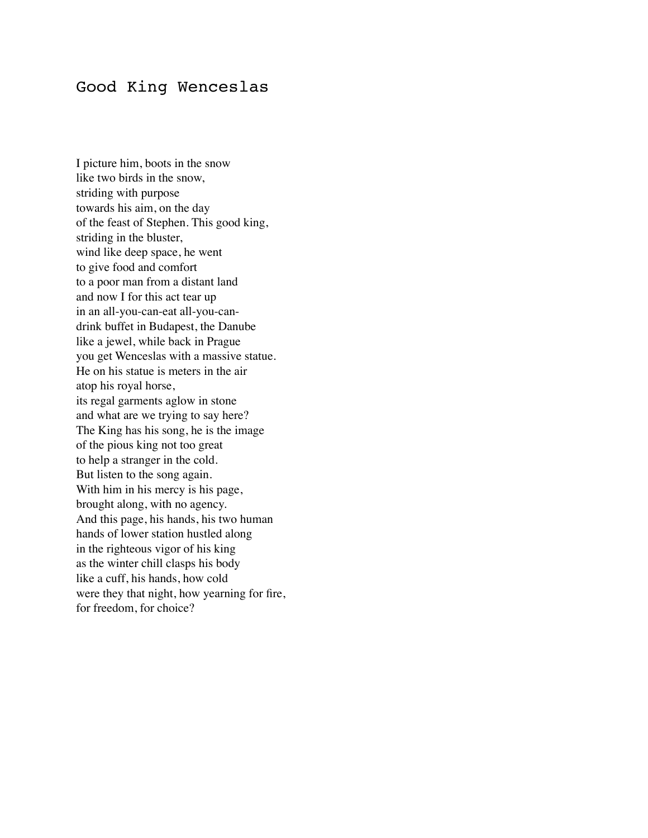#### Good King Wenceslas

I picture him, boots in the snow like two birds in the snow, striding with purpose towards his aim, on the day of the feast of Stephen. This good king, striding in the bluster, wind like deep space, he went to give food and comfort to a poor man from a distant land and now I for this act tear up in an all-you-can-eat all-you-candrink buffet in Budapest, the Danube like a jewel, while back in Prague you get Wenceslas with a massive statue. He on his statue is meters in the air atop his royal horse, its regal garments aglow in stone and what are we trying to say here? The King has his song, he is the image of the pious king not too great to help a stranger in the cold. But listen to the song again. With him in his mercy is his page, brought along, with no agency. And this page, his hands, his two human hands of lower station hustled along in the righteous vigor of his king as the winter chill clasps his body like a cuff, his hands, how cold were they that night, how yearning for fire, for freedom, for choice?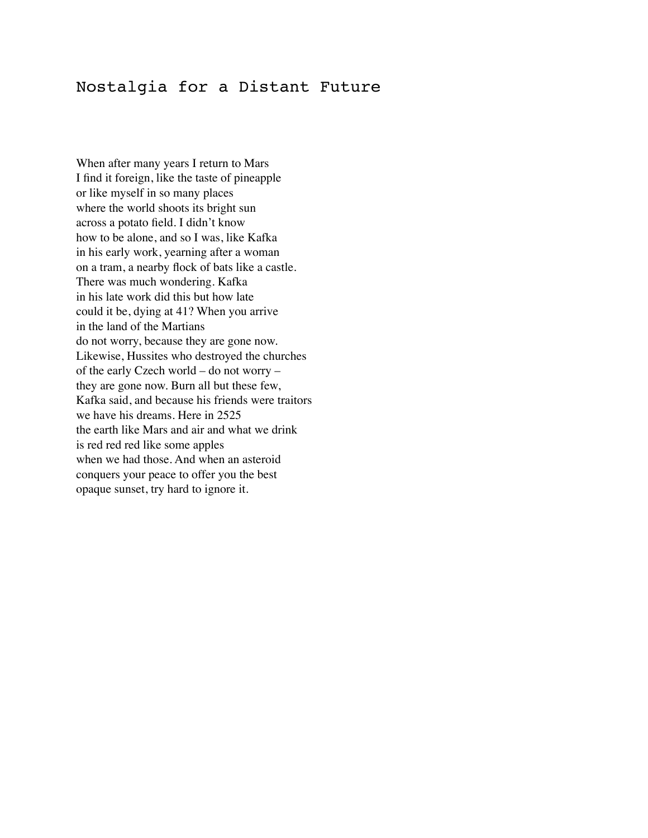### Nostalgia for a Distant Future

When after many years I return to Mars I find it foreign, like the taste of pineapple or like myself in so many places where the world shoots its bright sun across a potato field. I didn't know how to be alone, and so I was, like Kafka in his early work, yearning after a woman on a tram, a nearby flock of bats like a castle. There was much wondering. Kafka in his late work did this but how late could it be, dying at 41? When you arrive in the land of the Martians do not worry, because they are gone now. Likewise, Hussites who destroyed the churches of the early Czech world – do not worry – they are gone now. Burn all but these few, Kafka said, and because his friends were traitors we have his dreams. Here in 2525 the earth like Mars and air and what we drink is red red red like some apples when we had those. And when an asteroid conquers your peace to offer you the best opaque sunset, try hard to ignore it.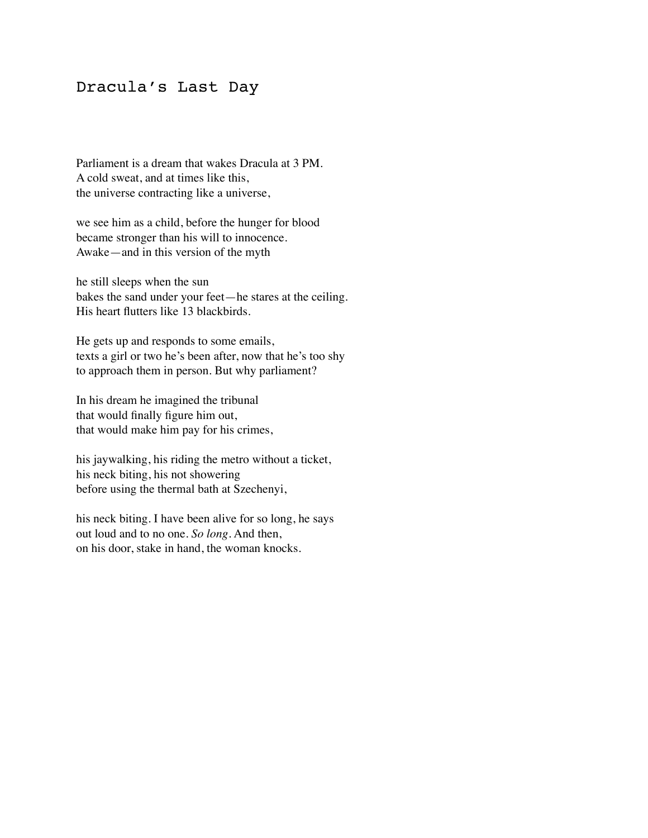#### Dracula's Last Day

Parliament is a dream that wakes Dracula at 3 PM. A cold sweat, and at times like this, the universe contracting like a universe,

we see him as a child, before the hunger for blood became stronger than his will to innocence. Awake—and in this version of the myth

he still sleeps when the sun bakes the sand under your feet—he stares at the ceiling. His heart flutters like 13 blackbirds.

He gets up and responds to some emails, texts a girl or two he's been after, now that he's too shy to approach them in person. But why parliament?

In his dream he imagined the tribunal that would finally figure him out, that would make him pay for his crimes,

his jaywalking, his riding the metro without a ticket, his neck biting, his not showering before using the thermal bath at Szechenyi,

his neck biting. I have been alive for so long, he says out loud and to no one. *So long*. And then, on his door, stake in hand, the woman knocks.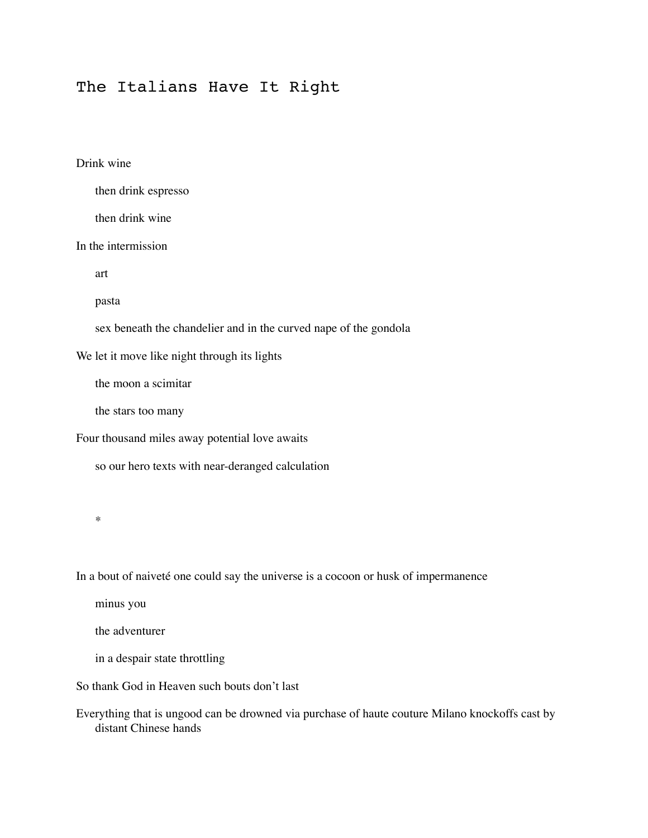## The Italians Have It Right

#### Drink wine

|  |  | then drink espresso |
|--|--|---------------------|
|--|--|---------------------|

then drink wine

In the intermission

art

pasta

sex beneath the chandelier and in the curved nape of the gondola

We let it move like night through its lights

the moon a scimitar

the stars too many

Four thousand miles away potential love awaits

so our hero texts with near-deranged calculation

\*

In a bout of naiveté one could say the universe is a cocoon or husk of impermanence

minus you

the adventurer

in a despair state throttling

So thank God in Heaven such bouts don't last

Everything that is ungood can be drowned via purchase of haute couture Milano knockoffs cast by distant Chinese hands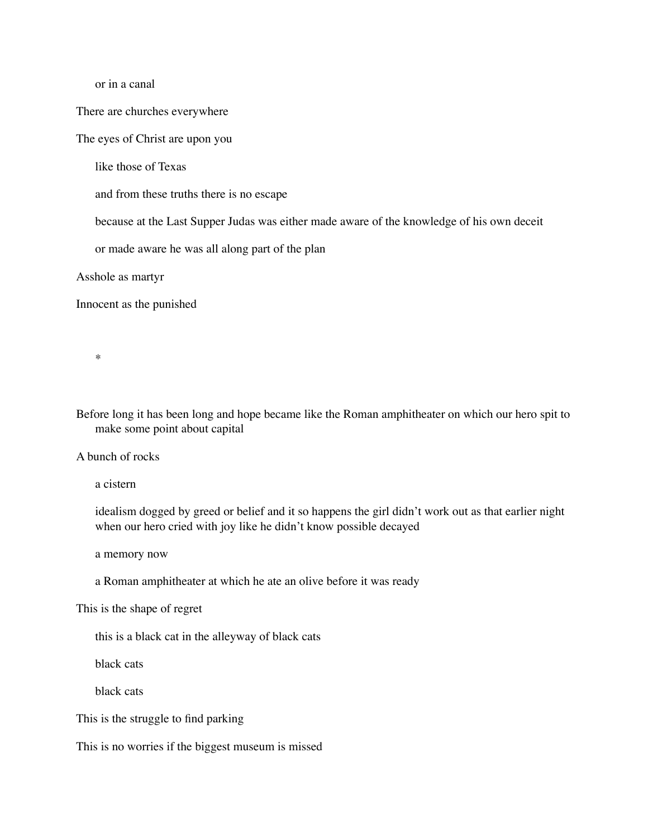or in a canal

There are churches everywhere

The eyes of Christ are upon you

like those of Texas

and from these truths there is no escape

because at the Last Supper Judas was either made aware of the knowledge of his own deceit

or made aware he was all along part of the plan

Asshole as martyr

Innocent as the punished

\*

Before long it has been long and hope became like the Roman amphitheater on which our hero spit to make some point about capital

A bunch of rocks

a cistern

idealism dogged by greed or belief and it so happens the girl didn't work out as that earlier night when our hero cried with joy like he didn't know possible decayed

a memory now

a Roman amphitheater at which he ate an olive before it was ready

This is the shape of regret

this is a black cat in the alleyway of black cats

black cats

black cats

This is the struggle to find parking

This is no worries if the biggest museum is missed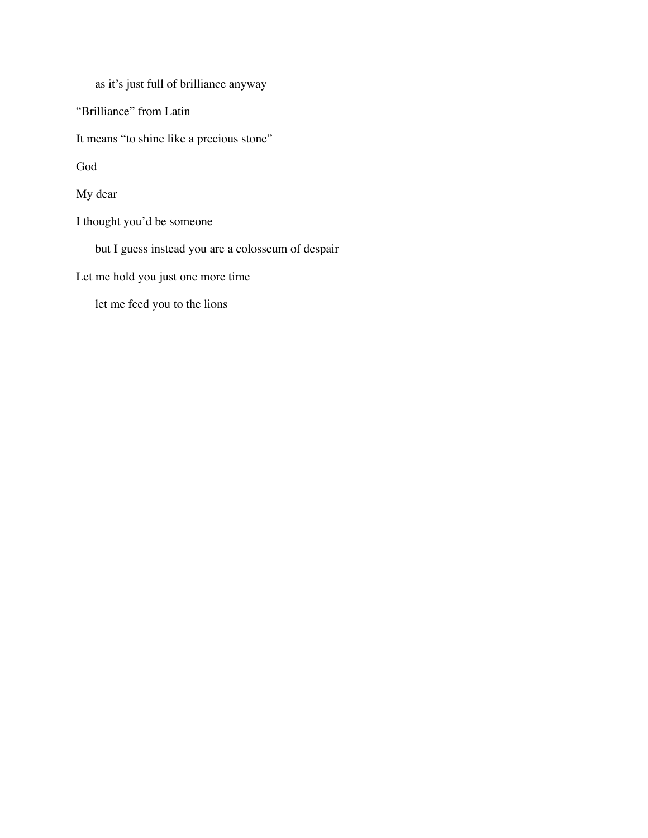as it's just full of brilliance anyway

"Brilliance" from Latin

It means "to shine like a precious stone"

God

My dear

I thought you'd be someone

but I guess instead you are a colosseum of despair

Let me hold you just one more time

let me feed you to the lions